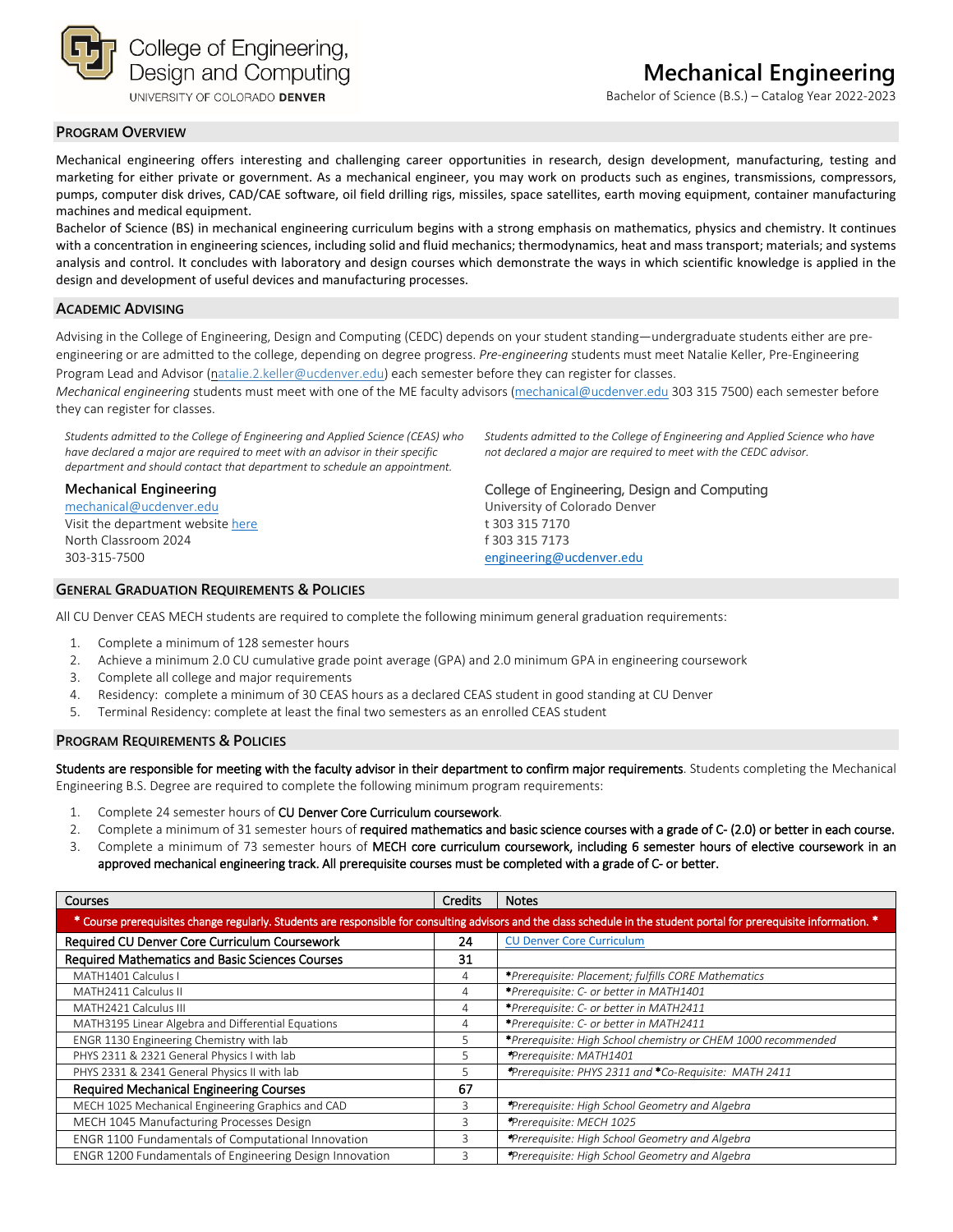

UNIVERSITY OF COLORADO DENVER

Bachelor of Science (B.S.) – Catalog Year 2022-2023

#### **PROGRAM OVERVIEW**

Mechanical engineering offers interesting and challenging career opportunities in research, design development, manufacturing, testing and marketing for either private or government. As a mechanical engineer, you may work on products such as engines, transmissions, compressors, pumps, computer disk drives, CAD/CAE software, oil field drilling rigs, missiles, space satellites, earth moving equipment, container manufacturing machines and medical equipment.

Bachelor of Science (BS) in mechanical engineering curriculum begins with a strong emphasis on mathematics, physics and chemistry. It continues with a concentration in engineering sciences, including solid and fluid mechanics; thermodynamics, heat and mass transport; materials; and systems analysis and control. It concludes with laboratory and design courses which demonstrate the ways in which scientific knowledge is applied in the design and development of useful devices and manufacturing processes.

#### **ACADEMIC ADVISING**

Advising in the College of Engineering, Design and Computing (CEDC) depends on your student standing—undergraduate students either are preengineering or are admitted to the college, depending on degree progress. *Pre-engineering* students must meet Natalie Keller, Pre-Engineering Program Lead and Advisor [\(natalie.2.keller@ucdenver.edu\)](mailto:natalie.2.keller@ucdenver.edu) each semester before they can register for classes.

*Mechanical engineering* students must meet with one of the ME faculty advisors [\(mechanical@ucdenver.edu](mailto:mechanical@ucdenver.edu) 303 315 7500) each semester before they can register for classes.

*Students admitted to the College of Engineering and Applied Science (CEAS) who have declared a major are required to meet with an advisor in their specific department and should contact that department to schedule an appointment.*

### **Mechanical Engineering**

[mechanical@ucdenver.edu](mailto:mechanical@ucdenver.edu) Visit the department websit[e here](http://www.ucdenver.edu/ACADEMICS/COLLEGES/ENGINEERING/PROGRAMS/MECHANICAL-ENGINEERING/DEGREEPROGRAMS/Pages/BachelorofScience.aspx) North Classroom 2024 303-315-7500

*Students admitted to the College of Engineering and Applied Science who have not declared a major are required to meet with the CEDC advisor.*

College of Engineering, Design and Computing

University of Colorado Denver t 303 315 7170 f 303 315 7173 [engineering@ucdenver.edu](mailto:petrina.morgan@ucdenver.edu)

#### **GENERAL GRADUATION REQUIREMENTS & POLICIES**

All CU Denver CEAS MECH students are required to complete the following minimum general graduation requirements:

- 1. Complete a minimum of 128 semester hours
- 2. Achieve a minimum 2.0 CU cumulative grade point average (GPA) and 2.0 minimum GPA in engineering coursework
- 3. Complete all college and major requirements
- 4. Residency: complete a minimum of 30 CEAS hours as a declared CEAS student in good standing at CU Denver
- 5. Terminal Residency: complete at least the final two semesters as an enrolled CEAS student

#### **PROGRAM REQUIREMENTS & POLICIES**

Students are responsible for meeting with the faculty advisor in their department to confirm major requirements. Students completing the Mechanical Engineering B.S. Degree are required to complete the following minimum program requirements:

- 1. Complete 24 semester hours of CU Denver Core Curriculum coursework.
- 2. Complete a minimum of 31 semester hours of required mathematics and basic science courses with a grade of C- (2.0) or better in each course.
- 3. Complete a minimum of 73 semester hours of MECH core curriculum coursework, including 6 semester hours of elective coursework in an approved mechanical engineering track. All prerequisite courses must be completed with a grade of C- or better.

| <b>Courses</b>                                                                                                                                                         | Credits | <b>Notes</b>                                                  |  |  |  |
|------------------------------------------------------------------------------------------------------------------------------------------------------------------------|---------|---------------------------------------------------------------|--|--|--|
| * Course prerequisites change regularly. Students are responsible for consulting advisors and the class schedule in the student portal for prerequisite information. * |         |                                                               |  |  |  |
| Required CU Denver Core Curriculum Coursework                                                                                                                          | 24      | <b>CU Denver Core Curriculum</b>                              |  |  |  |
| Required Mathematics and Basic Sciences Courses                                                                                                                        | 31      |                                                               |  |  |  |
| MATH1401 Calculus I                                                                                                                                                    | 4       | *Prerequisite: Placement; fulfills CORE Mathematics           |  |  |  |
| MATH2411 Calculus II                                                                                                                                                   | 4       | *Prerequisite: C- or better in MATH1401                       |  |  |  |
| MATH2421 Calculus III                                                                                                                                                  | 4       | *Prerequisite: C- or better in MATH2411                       |  |  |  |
| MATH3195 Linear Algebra and Differential Equations                                                                                                                     | 4       | *Prerequisite: C- or better in MATH2411                       |  |  |  |
| ENGR 1130 Engineering Chemistry with lab                                                                                                                               | 5       | *Prerequisite: High School chemistry or CHEM 1000 recommended |  |  |  |
| PHYS 2311 & 2321 General Physics I with lab                                                                                                                            | 5       | *Prerequisite: MATH1401                                       |  |  |  |
| PHYS 2331 & 2341 General Physics II with lab                                                                                                                           | 5       | *Prerequisite: PHYS 2311 and *Co-Requisite: MATH 2411         |  |  |  |
| <b>Required Mechanical Engineering Courses</b>                                                                                                                         | 67      |                                                               |  |  |  |
| MECH 1025 Mechanical Engineering Graphics and CAD                                                                                                                      | 3       | *Prerequisite: High School Geometry and Algebra               |  |  |  |
| MECH 1045 Manufacturing Processes Design                                                                                                                               | 3       | *Prerequisite: MECH 1025                                      |  |  |  |
| ENGR 1100 Fundamentals of Computational Innovation                                                                                                                     | 3       | *Prerequisite: High School Geometry and Algebra               |  |  |  |
| <b>ENGR 1200 Fundamentals of Engineering Design Innovation</b>                                                                                                         | 3       | *Prerequisite: High School Geometry and Algebra               |  |  |  |